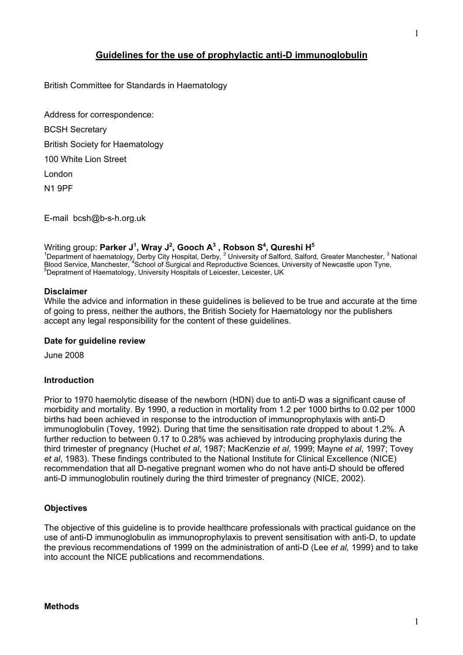# **Guidelines for the use of prophylactic anti-D immunoglobulin**

British Committee for Standards in Haematology

Address for correspondence: BCSH Secretary British Society for Haematology 100 White Lion Street London N1 9PF

E-mail bcsh@b-s-h.org.uk

Writing group: **Parker J<sup>1</sup>, Wray J<sup>2</sup>, Gooch A<sup>3</sup> , Robson S<sup>4</sup>, Qureshi H<sup>5</sup><br><sup>1</sup>Department of haematology, Derby City Hospital, Derby, <sup>2</sup> University of Salford, Salford, Greater Manchester, <sup>3</sup> National** Blood Service, Manchester, <sup>4</sup>School of Surgical and Reproductive Sciences, University of Newcastle upon Tyne, Depratment of Haematology, University Hospitals of Leicester, Leicester, UK

#### **Disclaimer**

While the advice and information in these guidelines is believed to be true and accurate at the time of going to press, neither the authors, the British Society for Haematology nor the publishers accept any legal responsibility for the content of these guidelines.

#### **Date for guideline review**

June 2008

#### **Introduction**

Prior to 1970 haemolytic disease of the newborn (HDN) due to anti-D was a significant cause of morbidity and mortality. By 1990, a reduction in mortality from 1.2 per 1000 births to 0.02 per 1000 births had been achieved in response to the introduction of immunoprophylaxis with anti-D immunoglobulin (Tovey, 1992). During that time the sensitisation rate dropped to about 1.2%. A further reduction to between 0.17 to 0.28% was achieved by introducing prophylaxis during the third trimester of pregnancy (Huchet *et al*, 1987; MacKenzie *et al*, 1999; Mayne *et al*, 1997; Tovey *et al*, 1983). These findings contributed to the National Institute for Clinical Excellence (NICE) recommendation that all D-negative pregnant women who do not have anti-D should be offered anti-D immunoglobulin routinely during the third trimester of pregnancy (NICE, 2002).

#### **Objectives**

The objective of this guideline is to provide healthcare professionals with practical guidance on the use of anti-D immunoglobulin as immunoprophylaxis to prevent sensitisation with anti-D, to update the previous recommendations of 1999 on the administration of anti-D (Lee *et al,* 1999) and to take into account the NICE publications and recommendations.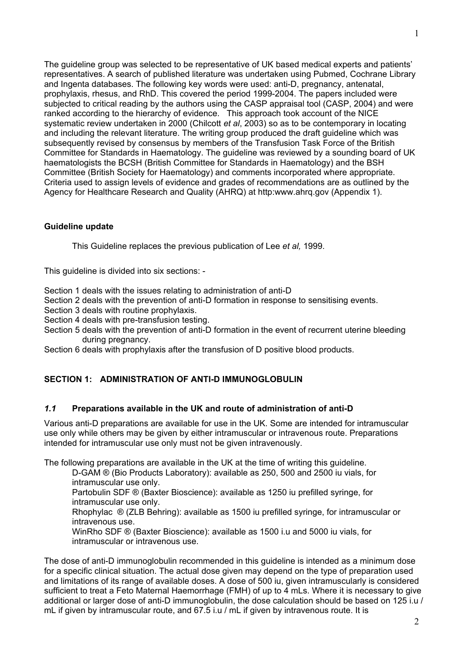The guideline group was selected to be representative of UK based medical experts and patients' representatives. A search of published literature was undertaken using Pubmed, Cochrane Library and Ingenta databases. The following key words were used: anti-D, pregnancy, antenatal, prophylaxis, rhesus, and RhD. This covered the period 1999-2004. The papers included were subjected to critical reading by the authors using the CASP appraisal tool (CASP, 2004) and were ranked according to the hierarchy of evidence. This approach took account of the NICE systematic review undertaken in 2000 (Chilcott *et al*, 2003) so as to be contemporary in locating and including the relevant literature. The writing group produced the draft guideline which was subsequently revised by consensus by members of the Transfusion Task Force of the British Committee for Standards in Haematology. The guideline was reviewed by a sounding board of UK haematologists the BCSH (British Committee for Standards in Haematology) and the BSH Committee (British Society for Haematology) and comments incorporated where appropriate. Criteria used to assign levels of evidence and grades of recommendations are as outlined by the Agency for Healthcare Research and Quality (AHRQ) at http:www.ahrq.gov (Appendix 1).

# **Guideline update**

This Guideline replaces the previous publication of Lee *et al,* 1999.

This guideline is divided into six sections: -

Section 1 deals with the issues relating to administration of anti-D

Section 2 deals with the prevention of anti-D formation in response to sensitising events.

Section 3 deals with routine prophylaxis.

Section 4 deals with pre-transfusion testing.

Section 5 deals with the prevention of anti-D formation in the event of recurrent uterine bleeding during pregnancy.

Section 6 deals with prophylaxis after the transfusion of D positive blood products.

# **SECTION 1: ADMINISTRATION OF ANTI-D IMMUNOGLOBULIN**

## *1.1* **Preparations available in the UK and route of administration of anti-D**

Various anti-D preparations are available for use in the UK. Some are intended for intramuscular use only while others may be given by either intramuscular or intravenous route. Preparations intended for intramuscular use only must not be given intravenously.

The following preparations are available in the UK at the time of writing this guideline.

D-GAM ® (Bio Products Laboratory): available as 250, 500 and 2500 iu vials, for intramuscular use only.

Partobulin SDF ® (Baxter Bioscience): available as 1250 iu prefilled syringe, for intramuscular use only.

Rhophylac ® (ZLB Behring): available as 1500 iu prefilled syringe, for intramuscular or intravenous use.

WinRho SDF ® (Baxter Bioscience): available as 1500 i.u and 5000 iu vials, for intramuscular or intravenous use.

The dose of anti-D immunoglobulin recommended in this guideline is intended as a minimum dose for a specific clinical situation. The actual dose given may depend on the type of preparation used and limitations of its range of available doses. A dose of 500 iu, given intramuscularly is considered sufficient to treat a Feto Maternal Haemorrhage (FMH) of up to 4 mLs. Where it is necessary to give additional or larger dose of anti-D immunoglobulin, the dose calculation should be based on 125 i.u / mL if given by intramuscular route, and 67.5 i.u / mL if given by intravenous route. It is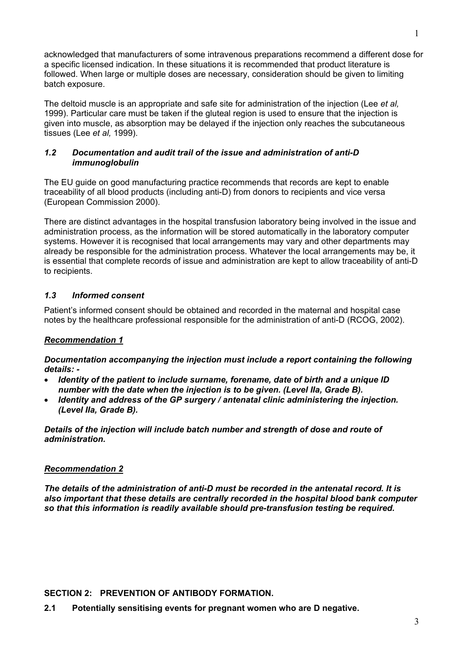acknowledged that manufacturers of some intravenous preparations recommend a different dose for a specific licensed indication. In these situations it is recommended that product literature is followed. When large or multiple doses are necessary, consideration should be given to limiting batch exposure.

The deltoid muscle is an appropriate and safe site for administration of the injection (Lee *et al,* 1999). Particular care must be taken if the gluteal region is used to ensure that the injection is given into muscle, as absorption may be delayed if the injection only reaches the subcutaneous tissues (Lee *et al,* 1999).

# *1.2 Documentation and audit trail of the issue and administration of anti-D immunoglobulin*

The EU guide on good manufacturing practice recommends that records are kept to enable traceability of all blood products (including anti-D) from donors to recipients and vice versa (European Commission 2000).

There are distinct advantages in the hospital transfusion laboratory being involved in the issue and administration process, as the information will be stored automatically in the laboratory computer systems. However it is recognised that local arrangements may vary and other departments may already be responsible for the administration process. Whatever the local arrangements may be, it is essential that complete records of issue and administration are kept to allow traceability of anti-D to recipients.

# *1.3 Informed consent*

Patient's informed consent should be obtained and recorded in the maternal and hospital case notes by the healthcare professional responsible for the administration of anti-D (RCOG, 2002).

## *Recommendation 1*

*Documentation accompanying the injection must include a report containing the following details: -* 

- *Identity of the patient to include surname, forename, date of birth and a unique ID number with the date when the injection is to be given. (Level IIa, Grade B).*
- *Identity and address of the GP surgery / antenatal clinic administering the injection. (Level IIa, Grade B).*

*Details of the injection will include batch number and strength of dose and route of administration.*

## *Recommendation 2*

*The details of the administration of anti-D must be recorded in the antenatal record. It is also important that these details are centrally recorded in the hospital blood bank computer so that this information is readily available should pre-transfusion testing be required.*

**SECTION 2: PREVENTION OF ANTIBODY FORMATION.** 

**2.1 Potentially sensitising events for pregnant women who are D negative.**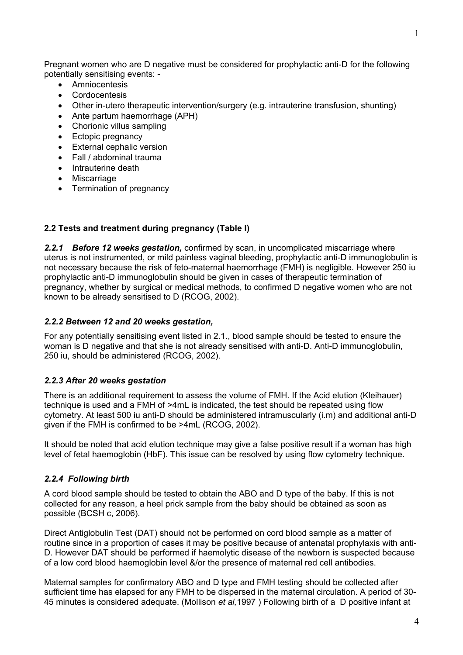Pregnant women who are D negative must be considered for prophylactic anti-D for the following potentially sensitising events: -

- Amniocentesis
- **Cordocentesis**
- Other in-utero therapeutic intervention/surgery (e.g. intrauterine transfusion, shunting)
- Ante partum haemorrhage (APH)
- Chorionic villus sampling
- Ectopic pregnancy
- External cephalic version
- Fall / abdominal trauma
- Intrauterine death
- Miscarriage
- Termination of pregnancy

# **2.2 Tests and treatment during pregnancy (Table I)**

*2.2.1 Before 12 weeks gestation,* confirmed by scan, in uncomplicated miscarriage where uterus is not instrumented, or mild painless vaginal bleeding, prophylactic anti-D immunoglobulin is not necessary because the risk of feto-maternal haemorrhage (FMH) is negligible. However 250 iu prophylactic anti-D immunoglobulin should be given in cases of therapeutic termination of pregnancy, whether by surgical or medical methods, to confirmed D negative women who are not known to be already sensitised to D (RCOG, 2002).

## *2.2.2 Between 12 and 20 weeks gestation,*

For any potentially sensitising event listed in 2.1., blood sample should be tested to ensure the woman is D negative and that she is not already sensitised with anti-D. Anti-D immunoglobulin, 250 iu, should be administered (RCOG, 2002).

## *2.2.3 After 20 weeks gestation*

There is an additional requirement to assess the volume of FMH. If the Acid elution (Kleihauer) technique is used and a FMH of >4mL is indicated, the test should be repeated using flow cytometry. At least 500 iu anti-D should be administered intramuscularly (i.m) and additional anti-D given if the FMH is confirmed to be >4mL (RCOG, 2002).

It should be noted that acid elution technique may give a false positive result if a woman has high level of fetal haemoglobin (HbF). This issue can be resolved by using flow cytometry technique.

## *2.2.4 Following birth*

A cord blood sample should be tested to obtain the ABO and D type of the baby. If this is not collected for any reason, a heel prick sample from the baby should be obtained as soon as possible (BCSH c, 2006).

Direct Antiglobulin Test (DAT) should not be performed on cord blood sample as a matter of routine since in a proportion of cases it may be positive because of antenatal prophylaxis with anti-D. However DAT should be performed if haemolytic disease of the newborn is suspected because of a low cord blood haemoglobin level &/or the presence of maternal red cell antibodies.

Maternal samples for confirmatory ABO and D type and FMH testing should be collected after sufficient time has elapsed for any FMH to be dispersed in the maternal circulation. A period of 30- 45 minutes is considered adequate. (Mollison *et al,*1997 ) Following birth of a D positive infant at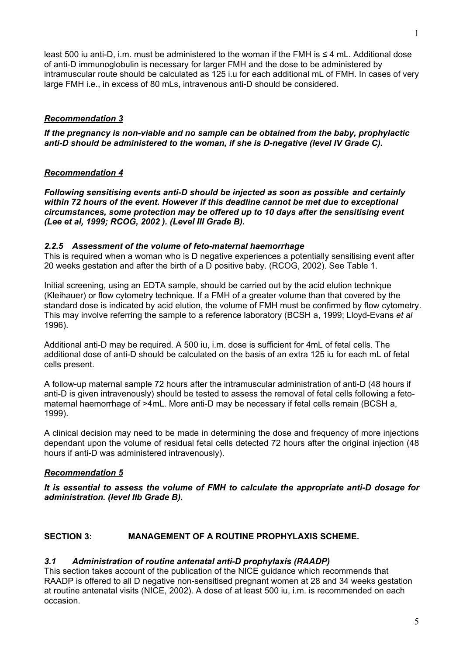least 500 iu anti-D, i.m. must be administered to the woman if the FMH is  $\leq 4$  mL. Additional dose of anti-D immunoglobulin is necessary for larger FMH and the dose to be administered by intramuscular route should be calculated as 125 i.u for each additional mL of FMH. In cases of very large FMH i.e., in excess of 80 mLs, intravenous anti-D should be considered.

# *Recommendation 3*

*If the pregnancy is non-viable and no sample can be obtained from the baby, prophylactic anti-D should be administered to the woman, if she is D-negative (level IV Grade C).* 

# *Recommendation 4*

*Following sensitising events anti-D should be injected as soon as possible and certainly within 72 hours of the event. However if this deadline cannot be met due to exceptional circumstances, some protection may be offered up to 10 days after the sensitising event (Lee et al, 1999; RCOG, 2002 ). (Level III Grade B).* 

# *2.2.5 Assessment of the volume of feto-maternal haemorrhage*

This is required when a woman who is D negative experiences a potentially sensitising event after 20 weeks gestation and after the birth of a D positive baby. (RCOG, 2002). See Table 1.

Initial screening, using an EDTA sample, should be carried out by the acid elution technique (Kleihauer) or flow cytometry technique. If a FMH of a greater volume than that covered by the standard dose is indicated by acid elution, the volume of FMH must be confirmed by flow cytometry. This may involve referring the sample to a reference laboratory (BCSH a, 1999; Lloyd-Evans *et al* 1996).

Additional anti-D may be required. A 500 iu, i.m. dose is sufficient for 4mL of fetal cells. The additional dose of anti-D should be calculated on the basis of an extra 125 iu for each mL of fetal cells present.

A follow-up maternal sample 72 hours after the intramuscular administration of anti-D (48 hours if anti-D is given intravenously) should be tested to assess the removal of fetal cells following a fetomaternal haemorrhage of >4mL. More anti-D may be necessary if fetal cells remain (BCSH a, 1999).

A clinical decision may need to be made in determining the dose and frequency of more injections dependant upon the volume of residual fetal cells detected 72 hours after the original injection (48 hours if anti-D was administered intravenously).

# *Recommendation 5*

*It is essential to assess the volume of FMH to calculate the appropriate anti-D dosage for administration. (level IIb Grade B).* 

# **SECTION 3: MANAGEMENT OF A ROUTINE PROPHYLAXIS SCHEME.**

# *3.1 Administration of routine antenatal anti-D prophylaxis (RAADP)*

This section takes account of the publication of the NICE guidance which recommends that RAADP is offered to all D negative non-sensitised pregnant women at 28 and 34 weeks gestation at routine antenatal visits (NICE, 2002). A dose of at least 500 iu, i.m. is recommended on each occasion.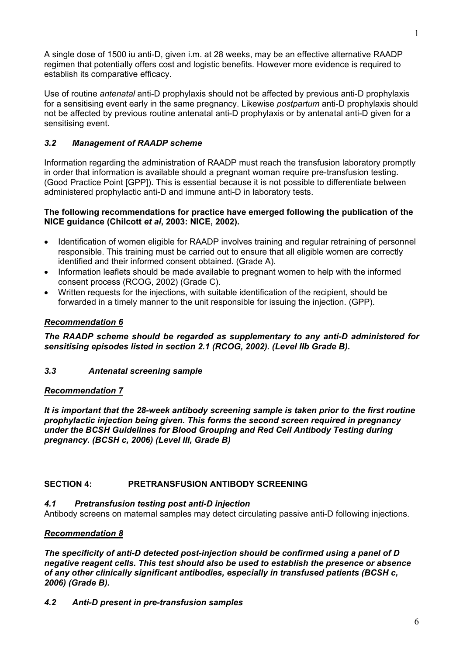A single dose of 1500 iu anti-D, given i.m. at 28 weeks, may be an effective alternative RAADP regimen that potentially offers cost and logistic benefits. However more evidence is required to establish its comparative efficacy.

Use of routine *antenatal* anti-D prophylaxis should not be affected by previous anti-D prophylaxis for a sensitising event early in the same pregnancy. Likewise *postpartum* anti-D prophylaxis should not be affected by previous routine antenatal anti-D prophylaxis or by antenatal anti-D given for a sensitising event.

# *3.2 Management of RAADP scheme*

Information regarding the administration of RAADP must reach the transfusion laboratory promptly in order that information is available should a pregnant woman require pre-transfusion testing. (Good Practice Point [GPP]). This is essential because it is not possible to differentiate between administered prophylactic anti-D and immune anti-D in laboratory tests.

# **The following recommendations for practice have emerged following the publication of the NICE guidance (Chilcott** *et al***, 2003: NICE, 2002).**

- Identification of women eligible for RAADP involves training and regular retraining of personnel responsible. This training must be carried out to ensure that all eligible women are correctly identified and their informed consent obtained. (Grade A).
- Information leaflets should be made available to pregnant women to help with the informed consent process (RCOG, 2002) (Grade C).
- Written requests for the injections, with suitable identification of the recipient, should be forwarded in a timely manner to the unit responsible for issuing the injection. (GPP).

# *Recommendation 6*

*The RAADP scheme should be regarded as supplementary to any anti-D administered for sensitising episodes listed in section 2.1 (RCOG, 2002). (Level IIb Grade B)***.** 

*3.3 Antenatal screening sample*

## *Recommendation 7*

*It is important that the 28-week antibody screening sample is taken prior to the first routine prophylactic injection being given. This forms the second screen required in pregnancy under the BCSH Guidelines for Blood Grouping and Red Cell Antibody Testing during pregnancy. (BCSH c, 2006) (Level III, Grade B)* 

# **SECTION 4: PRETRANSFUSION ANTIBODY SCREENING**

## *4.1 Pretransfusion testing post anti-D injection*

Antibody screens on maternal samples may detect circulating passive anti-D following injections.

## *Recommendation 8*

*The specificity of anti-D detected post-injection should be confirmed using a panel of D negative reagent cells. This test should also be used to establish the presence or absence of any other clinically significant antibodies, especially in transfused patients (BCSH c, 2006) (Grade B).* 

# *4.2 Anti-D present in pre-transfusion samples*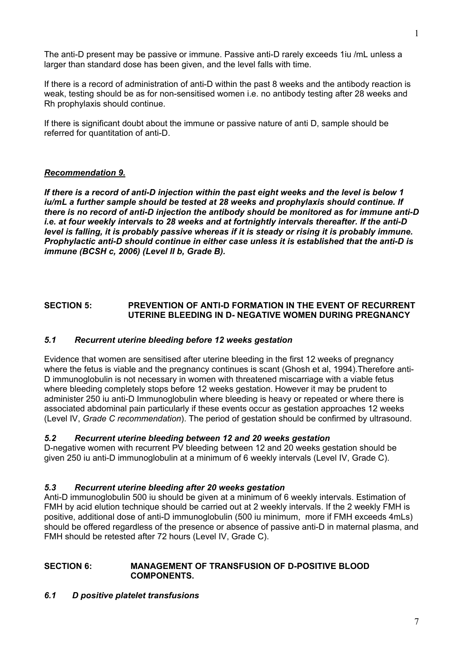The anti-D present may be passive or immune. Passive anti-D rarely exceeds 1iu /mL unless a larger than standard dose has been given, and the level falls with time.

If there is a record of administration of anti-D within the past 8 weeks and the antibody reaction is weak, testing should be as for non-sensitised women i.e. no antibody testing after 28 weeks and Rh prophylaxis should continue.

If there is significant doubt about the immune or passive nature of anti D, sample should be referred for quantitation of anti-D.

## *Recommendation 9.*

*If there is a record of anti-D injection within the past eight weeks and the level is below 1 iu/mL a further sample should be tested at 28 weeks and prophylaxis should continue. If there is no record of anti-D injection the antibody should be monitored as for immune anti-D i.e. at four weekly intervals to 28 weeks and at fortnightly intervals thereafter. If the anti-D level is falling, it is probably passive whereas if it is steady or rising it is probably immune. Prophylactic anti-D should continue in either case unless it is established that the anti-D is immune (BCSH c, 2006) (Level II b, Grade B).* 

## **SECTION 5: PREVENTION OF ANTI-D FORMATION IN THE EVENT OF RECURRENT UTERINE BLEEDING IN D- NEGATIVE WOMEN DURING PREGNANCY**

### *5.1 Recurrent uterine bleeding before 12 weeks gestation*

Evidence that women are sensitised after uterine bleeding in the first 12 weeks of pregnancy where the fetus is viable and the pregnancy continues is scant (Ghosh et al, 1994).Therefore anti-D immunoglobulin is not necessary in women with threatened miscarriage with a viable fetus where bleeding completely stops before 12 weeks gestation. However it may be prudent to administer 250 iu anti-D Immunoglobulin where bleeding is heavy or repeated or where there is associated abdominal pain particularly if these events occur as gestation approaches 12 weeks (Level IV, *Grade C recommendation*). The period of gestation should be confirmed by ultrasound.

#### *5.2 Recurrent uterine bleeding between 12 and 20 weeks gestation*

D-negative women with recurrent PV bleeding between 12 and 20 weeks gestation should be given 250 iu anti-D immunoglobulin at a minimum of 6 weekly intervals (Level IV, Grade C).

#### *5.3 Recurrent uterine bleeding after 20 weeks gestation*

Anti-D immunoglobulin 500 iu should be given at a minimum of 6 weekly intervals. Estimation of FMH by acid elution technique should be carried out at 2 weekly intervals. If the 2 weekly FMH is positive, additional dose of anti-D immunoglobulin (500 iu minimum, more if FMH exceeds 4mLs) should be offered regardless of the presence or absence of passive anti-D in maternal plasma, and FMH should be retested after 72 hours (Level IV, Grade C).

### **SECTION 6: MANAGEMENT OF TRANSFUSION OF D-POSITIVE BLOOD COMPONENTS.**

## *6.1 D positive platelet transfusions*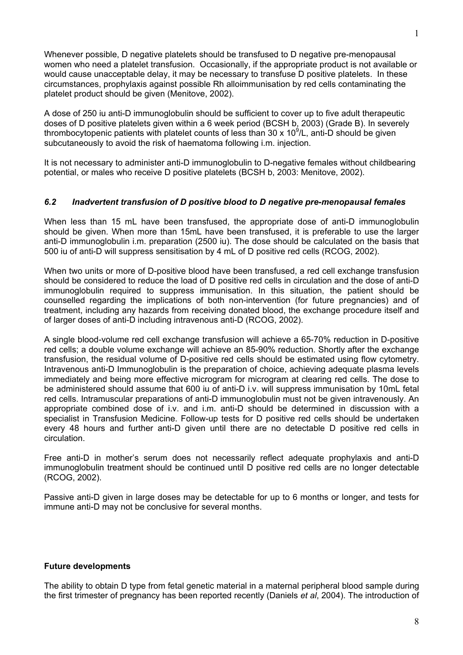Whenever possible, D negative platelets should be transfused to D negative pre-menopausal women who need a platelet transfusion. Occasionally, if the appropriate product is not available or would cause unacceptable delay, it may be necessary to transfuse D positive platelets. In these circumstances, prophylaxis against possible Rh alloimmunisation by red cells contaminating the platelet product should be given (Menitove, 2002).

A dose of 250 iu anti-D immunoglobulin should be sufficient to cover up to five adult therapeutic doses of D positive platelets given within a 6 week period (BCSH b, 2003) (Grade B). In severely thrombocytopenic patients with platelet counts of less than 30 x 10 $^9$ /L, anti-D should be given subcutaneously to avoid the risk of haematoma following i.m. injection.

It is not necessary to administer anti-D immunoglobulin to D-negative females without childbearing potential, or males who receive D positive platelets (BCSH b, 2003: Menitove, 2002).

## *6.2 Inadvertent transfusion of D positive blood to D negative pre-menopausal females*

When less than 15 mL have been transfused, the appropriate dose of anti-D immunoglobulin should be given. When more than 15mL have been transfused, it is preferable to use the larger anti-D immunoglobulin i.m. preparation (2500 iu). The dose should be calculated on the basis that 500 iu of anti-D will suppress sensitisation by 4 mL of D positive red cells (RCOG, 2002).

When two units or more of D-positive blood have been transfused, a red cell exchange transfusion should be considered to reduce the load of D positive red cells in circulation and the dose of anti-D immunoglobulin required to suppress immunisation. In this situation, the patient should be counselled regarding the implications of both non-intervention (for future pregnancies) and of treatment, including any hazards from receiving donated blood, the exchange procedure itself and of larger doses of anti-D including intravenous anti-D (RCOG, 2002).

A single blood-volume red cell exchange transfusion will achieve a 65-70% reduction in D-positive red cells; a double volume exchange will achieve an 85-90% reduction. Shortly after the exchange transfusion, the residual volume of D-positive red cells should be estimated using flow cytometry. Intravenous anti-D Immunoglobulin is the preparation of choice, achieving adequate plasma levels immediately and being more effective microgram for microgram at clearing red cells. The dose to be administered should assume that 600 iu of anti-D i.v. will suppress immunisation by 10mL fetal red cells. Intramuscular preparations of anti-D immunoglobulin must not be given intravenously. An appropriate combined dose of i.v. and i.m. anti-D should be determined in discussion with a specialist in Transfusion Medicine. Follow-up tests for D positive red cells should be undertaken every 48 hours and further anti-D given until there are no detectable D positive red cells in circulation.

Free anti-D in mother's serum does not necessarily reflect adequate prophylaxis and anti-D immunoglobulin treatment should be continued until D positive red cells are no longer detectable (RCOG, 2002).

Passive anti-D given in large doses may be detectable for up to 6 months or longer, and tests for immune anti-D may not be conclusive for several months.

#### **Future developments**

The ability to obtain D type from fetal genetic material in a maternal peripheral blood sample during the first trimester of pregnancy has been reported recently (Daniels *et al*, 2004). The introduction of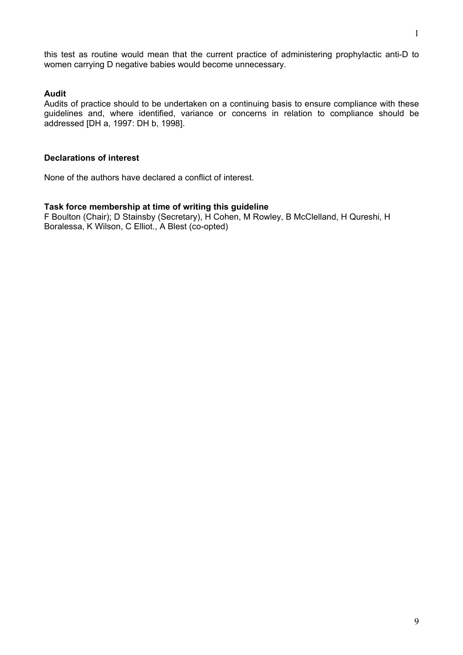this test as routine would mean that the current practice of administering prophylactic anti-D to women carrying D negative babies would become unnecessary.

## **Audit**

Audits of practice should to be undertaken on a continuing basis to ensure compliance with these guidelines and, where identified, variance or concerns in relation to compliance should be addressed [DH a, 1997: DH b, 1998].

#### **Declarations of interest**

None of the authors have declared a conflict of interest.

#### **Task force membership at time of writing this guideline**

F Boulton (Chair); D Stainsby (Secretary), H Cohen, M Rowley, B McClelland, H Qureshi, H Boralessa, K Wilson, C Elliot., A Blest (co-opted)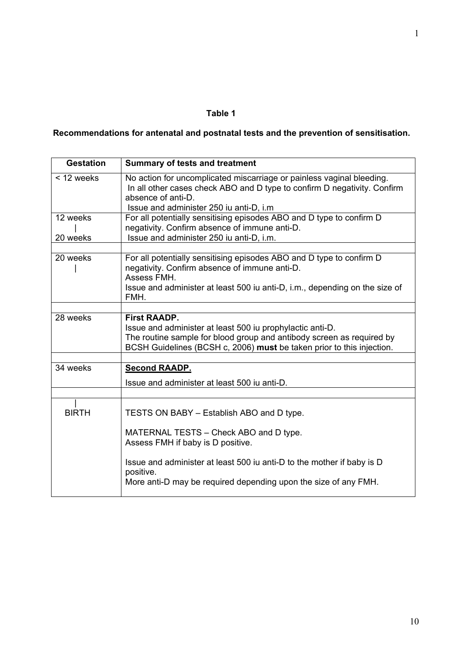# **Table 1**

# **Recommendations for antenatal and postnatal tests and the prevention of sensitisation.**

| <b>Gestation</b>     | <b>Summary of tests and treatment</b>                                                                                                                                                                                                                                              |
|----------------------|------------------------------------------------------------------------------------------------------------------------------------------------------------------------------------------------------------------------------------------------------------------------------------|
| < 12 weeks           | No action for uncomplicated miscarriage or painless vaginal bleeding.<br>In all other cases check ABO and D type to confirm D negativity. Confirm<br>absence of anti-D.<br>Issue and administer 250 iu anti-D, i.m                                                                 |
| 12 weeks<br>20 weeks | For all potentially sensitising episodes ABO and D type to confirm D<br>negativity. Confirm absence of immune anti-D.<br>Issue and administer 250 iu anti-D, i.m.                                                                                                                  |
| 20 weeks             | For all potentially sensitising episodes ABO and D type to confirm D<br>negativity. Confirm absence of immune anti-D.<br>Assess FMH.<br>Issue and administer at least 500 iu anti-D, i.m., depending on the size of<br>FMH.                                                        |
| 28 weeks             | <b>First RAADP.</b><br>Issue and administer at least 500 iu prophylactic anti-D.<br>The routine sample for blood group and antibody screen as required by<br>BCSH Guidelines (BCSH c, 2006) must be taken prior to this injection.                                                 |
| 34 weeks             | <b>Second RAADP.</b><br>Issue and administer at least 500 iu anti-D.                                                                                                                                                                                                               |
| <b>BIRTH</b>         | TESTS ON BABY - Establish ABO and D type.<br>MATERNAL TESTS - Check ABO and D type.<br>Assess FMH if baby is D positive.<br>Issue and administer at least 500 iu anti-D to the mother if baby is D<br>positive.<br>More anti-D may be required depending upon the size of any FMH. |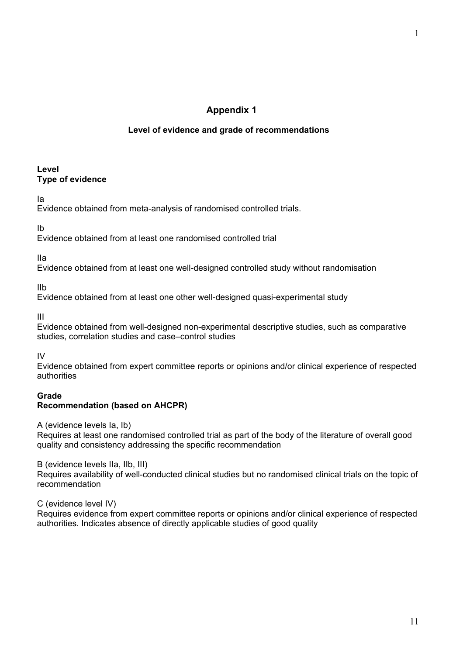# **Appendix 1**

### **Level of evidence and grade of recommendations**

#### **Level Type of evidence**

Ia

Evidence obtained from meta-analysis of randomised controlled trials.

Ib

Evidence obtained from at least one randomised controlled trial

IIa

Evidence obtained from at least one well-designed controlled study without randomisation

IIb

Evidence obtained from at least one other well-designed quasi-experimental study

III

Evidence obtained from well-designed non-experimental descriptive studies, such as comparative studies, correlation studies and case–control studies

IV

Evidence obtained from expert committee reports or opinions and/or clinical experience of respected authorities

### **Grade Recommendation (based on AHCPR)**

A (evidence levels Ia, Ib)

Requires at least one randomised controlled trial as part of the body of the literature of overall good quality and consistency addressing the specific recommendation

B (evidence levels IIa, IIb, III)

Requires availability of well-conducted clinical studies but no randomised clinical trials on the topic of recommendation

C (evidence level IV)

Requires evidence from expert committee reports or opinions and/or clinical experience of respected authorities. Indicates absence of directly applicable studies of good quality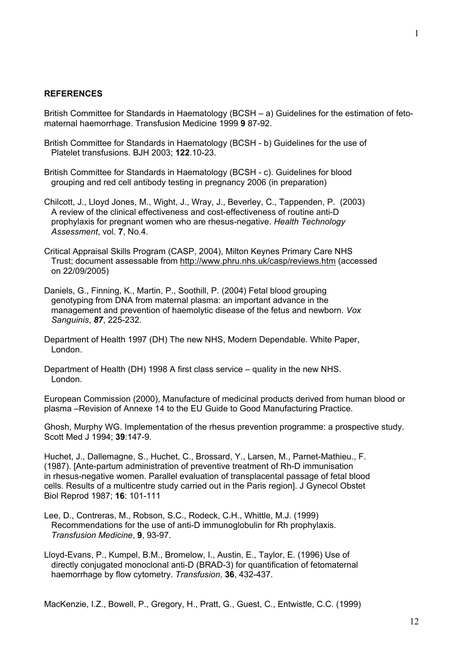#### **REFERENCES**

British Committee for Standards in Haematology (BCSH – a) Guidelines for the estimation of fetomaternal haemorrhage. Transfusion Medicine 1999 **9** 87-92.

- British Committee for Standards in Haematology (BCSH b) Guidelines for the use of Platelet transfusions. BJH 2003; **122**.10-23.
- British Committee for Standards in Haematology (BCSH c). Guidelines for blood grouping and red cell antibody testing in pregnancy 2006 (in preparation)
- Chilcott, J., Lloyd Jones, M., Wight, J., Wray, J., Beverley, C., Tappenden, P. (2003) A review of the clinical effectiveness and cost-effectiveness of routine anti-D prophylaxis for pregnant women who are rhesus-negative. *Health Technology Assessment*, vol. **7**, No.4.
- Critical Appraisal Skills Program (CASP, 2004), Milton Keynes Primary Care NHS Trust; document assessable from http://www.phru.nhs.uk/casp/reviews.htm (accessed on 22/09/2005)
- Daniels, G., Finning, K., Martin, P., Soothill, P. (2004) Fetal blood grouping genotyping from DNA from maternal plasma: an important advance in the management and prevention of haemolytic disease of the fetus and newborn. *Vox Sanguinis*, *87*, 225-232.
- Department of Health 1997 (DH) The new NHS, Modern Dependable. White Paper, London.
- Department of Health (DH) 1998 A first class service quality in the new NHS. London.
- European Commission (2000), Manufacture of medicinal products derived from human blood or plasma –Revision of Annexe 14 to the EU Guide to Good Manufacturing Practice.
- Ghosh, Murphy WG. Implementation of the rhesus prevention programme: a prospective study. Scott Med J 1994; **39**:147-9.
- Huchet, J., Dallemagne, S., Huchet, C., Brossard, Y., Larsen, M., Parnet-Mathieu., F. (1987). [Ante-partum administration of preventive treatment of Rh-D immunisation in rhesus-negative women. Parallel evaluation of transplacental passage of fetal blood cells. Results of a multicentre study carried out in the Paris region]. J Gynecol Obstet Biol Reprod 1987; **16**: 101-111
- Lee, D., Contreras, M., Robson, S.C., Rodeck, C.H., Whittle, M.J. (1999) Recommendations for the use of anti-D immunoglobulin for Rh prophylaxis. *Transfusion Medicine*, **9**, 93-97.
- Lloyd-Evans, P., Kumpel, B.M., Bromelow, I., Austin, E., Taylor, E. (1996) Use of directly conjugated monoclonal anti-D (BRAD-3) for quantification of fetomaternal haemorrhage by flow cytometry. *Transfusion*, **36**, 432-437.

MacKenzie, I.Z., Bowell, P., Gregory, H., Pratt, G., Guest, C., Entwistle, C.C. (1999)